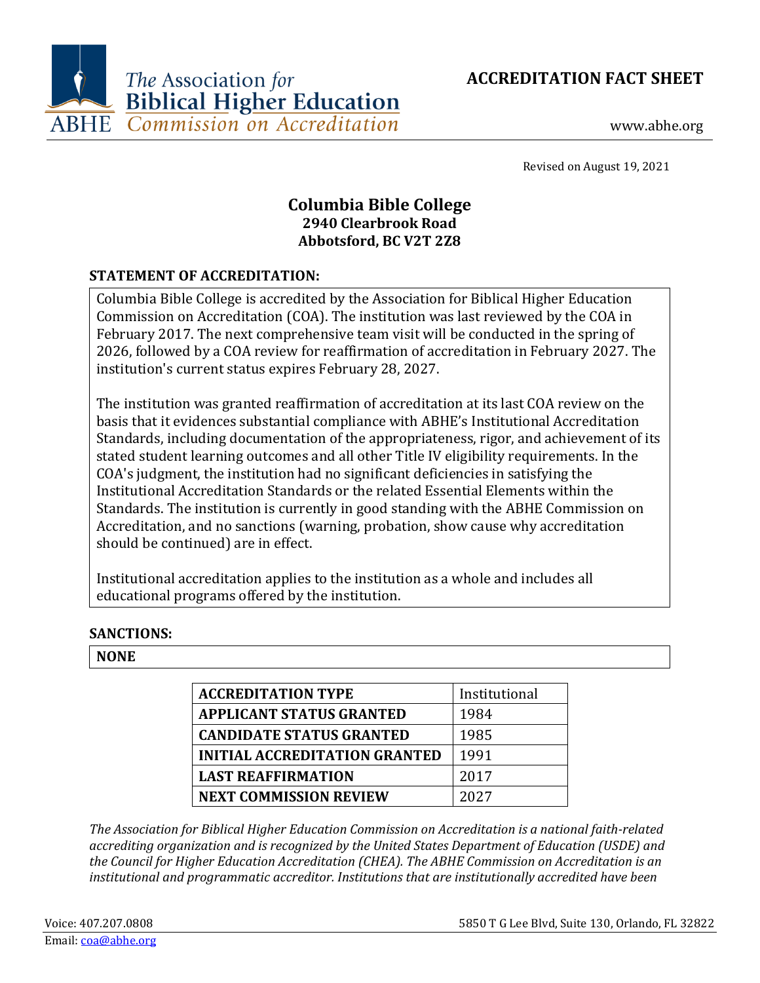**ACCREDITATION FACT SHEET**



www.abhe.org

Revised on August 19, 2021

# **Columbia Bible College 2940 Clearbrook Road Abbotsford, BC V2T 2Z8**

## **STATEMENT OF ACCREDITATION:**

Columbia Bible College is accredited by the Association for Biblical Higher Education Commission on Accreditation (COA). The institution was last reviewed by the COA in February 2017. The next comprehensive team visit will be conducted in the spring of 2026, followed by a COA review for reaffirmation of accreditation in February 2027. The institution's current status expires February 28, 2027.

The institution was granted reaffirmation of accreditation at its last COA review on the basis that it evidences substantial compliance with ABHE's Institutional Accreditation Standards, including documentation of the appropriateness, rigor, and achievement of its stated student learning outcomes and all other Title IV eligibility requirements. In the COA's judgment, the institution had no significant deficiencies in satisfying the Institutional Accreditation Standards or the related Essential Elements within the Standards. The institution is currently in good standing with the ABHE Commission on Accreditation, and no sanctions (warning, probation, show cause why accreditation should be continued) are in effect.

Institutional accreditation applies to the institution as a whole and includes all educational programs offered by the institution.

## **SANCTIONS:**

## **NONE**

| <b>ACCREDITATION TYPE</b>            | Institutional |
|--------------------------------------|---------------|
| <b>APPLICANT STATUS GRANTED</b>      | 1984          |
| <b>CANDIDATE STATUS GRANTED</b>      | 1985          |
| <b>INITIAL ACCREDITATION GRANTED</b> | 1991          |
| <b>LAST REAFFIRMATION</b>            | 2017          |
| <b>NEXT COMMISSION REVIEW</b>        | 2027          |

*The Association for Biblical Higher Education Commission on Accreditation is a national faith-related accrediting organization and is recognized by the United States Department of Education (USDE) and the Council for Higher Education Accreditation (CHEA). The ABHE Commission on Accreditation is an institutional and programmatic accreditor. Institutions that are institutionally accredited have been*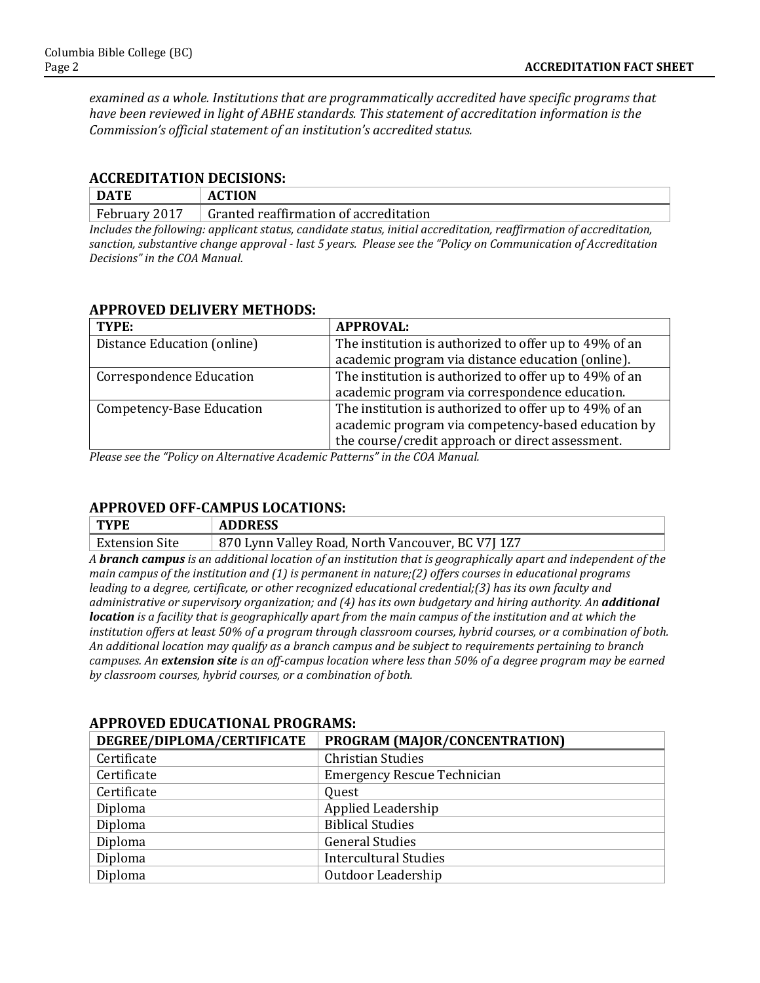*examined as a whole. Institutions that are programmatically accredited have specific programs that have been reviewed in light of ABHE standards. This statement of accreditation information is the Commission's official statement of an institution's accredited status.*

#### **ACCREDITATION DECISIONS:**

| <b>DATE</b> | <b>ACTION</b><br>ΑI   |
|-------------|-----------------------|
| February    | Granted reaffirmation |
| 2017        | of accreditation ا    |

*Includes the following: applicant status, candidate status, initial accreditation, reaffirmation of accreditation, sanction, substantive change approval - last 5 years. Please see the "Policy on Communication of Accreditation Decisions" in the COA Manual.*

### **APPROVED DELIVERY METHODS:**

| TYPE:                           | <b>APPROVAL:</b>                                       |
|---------------------------------|--------------------------------------------------------|
| Distance Education (online)     | The institution is authorized to offer up to 49% of an |
|                                 | academic program via distance education (online).      |
| <b>Correspondence Education</b> | The institution is authorized to offer up to 49% of an |
|                                 | academic program via correspondence education.         |
| Competency-Base Education       | The institution is authorized to offer up to 49% of an |
|                                 | academic program via competency-based education by     |
|                                 | the course/credit approach or direct assessment.       |

*Please see the "Policy on Alternative Academic Patterns" in the COA Manual.*

## **APPROVED OFF-CAMPUS LOCATIONS:**

| <b>TYPE</b>           | <b>ADDRESS</b>                                    |
|-----------------------|---------------------------------------------------|
| <b>Extension Site</b> | 870 Lynn Valley Road, North Vancouver, BC V7J 1Z7 |

*A branch campus is an additional location of an institution that is geographically apart and independent of the main campus of the institution and (1) is permanent in nature;(2) offers courses in educational programs leading to a degree, certificate, or other recognized educational credential;(3) has its own faculty and administrative or supervisory organization; and (4) has its own budgetary and hiring authority. An additional location is a facility that is geographically apart from the main campus of the institution and at which the institution offers at least 50% of a program through classroom courses, hybrid courses, or a combination of both. An additional location may qualify as a branch campus and be subject to requirements pertaining to branch campuses. An extension site is an off-campus location where less than 50% of a degree program may be earned by classroom courses, hybrid courses, or a combination of both.*

| DEGREE/DIPLOMA/CERTIFICATE | PROGRAM (MAJOR/CONCENTRATION)      |
|----------------------------|------------------------------------|
| Certificate                | <b>Christian Studies</b>           |
| Certificate                | <b>Emergency Rescue Technician</b> |
| Certificate                | Quest                              |
| Diploma                    | Applied Leadership                 |
| Diploma                    | <b>Biblical Studies</b>            |
| Diploma                    | <b>General Studies</b>             |
| Diploma                    | <b>Intercultural Studies</b>       |
| Diploma                    | Outdoor Leadership                 |

#### **APPROVED EDUCATIONAL PROGRAMS:**